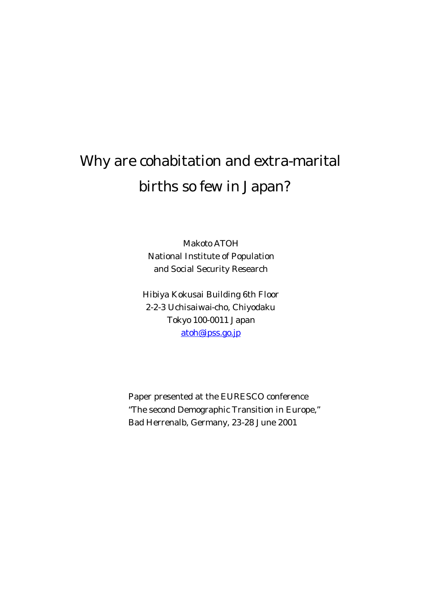## Why are cohabitation and extra-marital births so few in Japan?

Makoto ATOH National Institute of Population and Social Security Research

Hibiya Kokusai Building 6th Floor 2-2-3 Uchisaiwai-cho, Chiyodaku Tokyo 100-0011 Japan atoh@ipss.go.jp

Paper presented at the EURESCO conference "The second Demographic Transition in Europe," Bad Herrenalb, Germany, 23-28 June 2001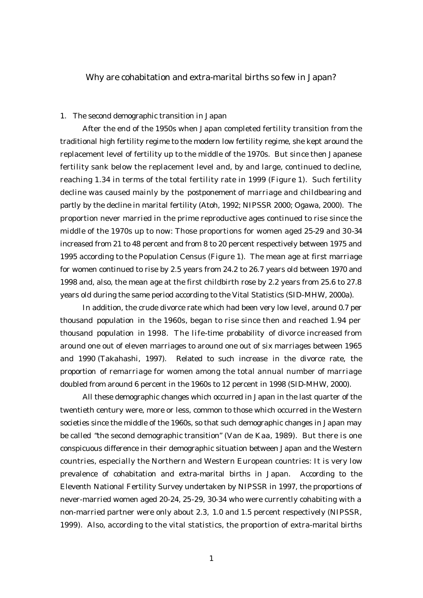Why are cohabitation and extra-marital births so few in Japan?

## 1. The second demographic transition in Japan

After the end of the 1950s when Japan completed fertility transition from the traditional high fertility regime to the modern low fertility regime, she kept around the replacement level of fertility up to the middle of the 1970s. But since then Japanese fertility sank below the replacement level and, by and large, continued to decline, reaching 1.34 in terms of the total fertility rate in 1999 (Figure 1). Such fertility decline was caused mainly by the postponement of marriage and childbearing and partly by the decline in marital fertility (Atoh, 1992; NIPSSR 2000; Ogawa, 2000). The proportion never married in the prime reproductive ages continued to rise since the middle of the 1970s up to now: Those proportions for women aged 25-29 and 30-34 increased from 21 to 48 percent and from 8 to 20 percent respectively between 1975 and 1995 according to the Population Census (Figure 1). The mean age at first marriage for women continued to rise by 2.5 years from 24.2 to 26.7 years old between 1970 and 1998 and, also, the mean age at the first childbirth rose by 2.2 years from 25.6 to 27.8 years old during the same period according to the Vital Statistics (SID-MHW, 2000a).

In addition, the crude divorce rate which had been very low level, around 0.7 per thousand population in the 1960s, began to rise since then and reached 1.94 per thousand population in 1998. The life-time probability of divorce increased from around one out of eleven marriages to around one out of six marriages between 1965 and 1990 (Takahashi, 1997). Related to such increase in the divorce rate, the proportion of remarriage for women among the total annual number of marriage doubled from around 6 percent in the 1960s to 12 percent in 1998 (SID-MHW, 2000).

All these demographic changes which occurred in Japan in the last quarter of the twentieth century were, more or less, common to those which occurred in the Western societies since the middle of the 1960s, so that such demographic changes in Japan may be called "the second demographic transition" (Van de Kaa, 1989). But there is one conspicuous difference in their demographic situation between Japan and the Western countries, especially the Northern and Western European countries: It is very low prevalence of cohabitation and extra-marital births in Japan. According to the Eleventh National Fertility Survey undertaken by NIPSSR in 1997, the proportions of never-married women aged 20-24, 25-29, 30-34 who were currently cohabiting with a non-married partner were only about 2.3, 1.0 and 1.5 percent respectively (NIPSSR, 1999). Also, according to the vital statistics, the proportion of extra-marital births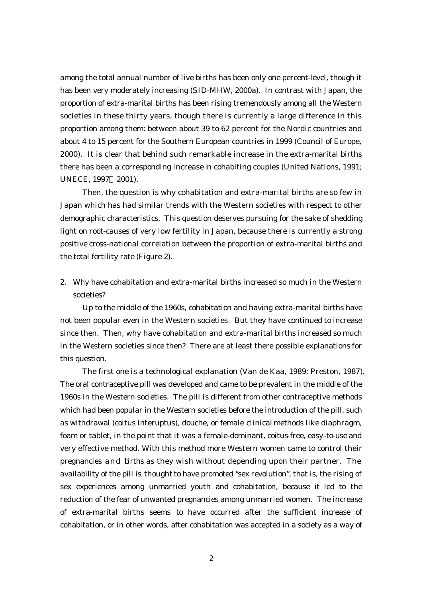among the total annual number of live births has been only one percent-level, though it has been very moderately increasing (SID-MHW, 2000a). In contrast with Japan, the proportion of extra-marital births has been rising tremendously among all the Western societies in these thirty years, though there is currently a large difference in this proportion among them: between about 39 to 62 percent for the Nordic countries and about 4 to 15 percent for the Southern European countries in 1999 (Council of Europe, 2000). It is clear that behind such remarkable increase in the extra-marital births there has been a corresponding increase in cohabiting couples (United Nations, 1991; UNECE, 1997 2001).

Then, the question is why cohabitation and extra-marital births are so few in Japan which has had similar trends with the Western societies with respect to other demographic characteristics. This question deserves pursuing for the sake of shedding light on root-causes of very low fertility in Japan, because there is currently a strong positive cross-national correlation between the proportion of extra-marital births and the total fertility rate (Figure 2).

2. Why have cohabitation and extra-marital births increased so much in the Western societies?

Up to the middle of the 1960s, cohabitation and having extra-marital births have not been popular even in the Western societies. But they have continued to increase since then. Then, why have cohabitation and extra-marital births increased so much in the Western societies since then? There are at least there possible explanations for this question.

The first one is a technological explanation (Van de Kaa, 1989; Preston, 1987). The oral contraceptive pill was developed and came to be prevalent in the middle of the 1960s in the Western societies. The pill is different from other contraceptive methods which had been popular in the Western societies before the introduction of the pill, such as withdrawal (coitus interuptus), douche, or female clinical methods like diaphragm, foam or tablet, in the point that it was a female-dominant, coitus-free, easy-to-use and very effective method. With this method more Western women came to control their pregnancies and births as they wish without depending upon their partner. The availability of the pill is thought to have promoted "sex revolution", that is, the rising of sex experiences among unmarried youth and cohabitation, because it led to the reduction of the fear of unwanted pregnancies among unmarried women. The increase of extra-marital births seems to have occurred after the sufficient increase of cohabitation, or in other words, after cohabitation was accepted in a society as a way of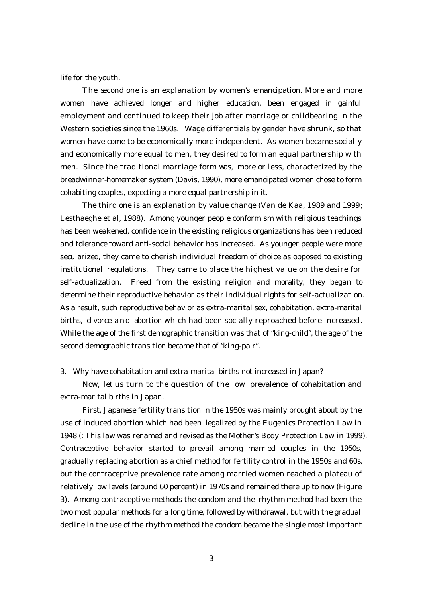life for the youth.

The second one is an explanation by women's emancipation. More and more women have achieved longer and higher education, been engaged in gainful employment and continued to keep their job after marriage or childbearing in the Western societies since the 1960s. Wage differentials by gender have shrunk, so that women have come to be economically more independent. As women became socially and economically more equal to men, they desired to form an equal partnership with men. Since the traditional marriage form was, more or less, characterized by the breadwinner-homemaker system (Davis, 1990), more emancipated women chose to form cohabiting couples, expecting a more equal partnership in it.

The third one is an explanation by value change (Van de Kaa, 1989 and 1999; Lesthaeghe et al, 1988). Among younger people conformism with religious teachings has been weakened, confidence in the existing religious organizations has been reduced and tolerance toward anti-social behavior has increased. As younger people were more secularized, they came to cherish individual freedom of choice as opposed to existing institutional regulations. They came to place the highest value on the desire for self-actualization. Freed from the existing religion and morality, they began to determine their reproductive behavior as their individual rights for self-actualization. As a result, such reproductive behavior as extra-marital sex, cohabitation, extra-marital births, divorce and abortion which had been socially reproached before increased. While the age of the first demographic transition was that of "king-child", the age of the second demographic transition became that of "king-pair".

3. Why have cohabitation and extra-marital births not increased in Japan?

Now, let us turn to the question of the low prevalence of cohabitation and extra-marital births in Japan.

First, Japanese fertility transition in the 1950s was mainly brought about by the use of induced abortion which had been legalized by the Eugenics Protection Law in 1948 (: This law was renamed and revised as the Mother's Body Protection Law in 1999). Contraceptive behavior started to prevail among married couples in the 1950s, gradually replacing abortion as a chief method for fertility control in the 1950s and 60s, but the contraceptive prevalence rate among married women reached a plateau of relatively low levels (around 60 percent) in 1970s and remained there up to now (Figure 3). Among contraceptive methods the condom and the rhythm method had been the two most popular methods for a long time, followed by withdrawal, but with the gradual decline in the use of the rhythm method the condom became the single most important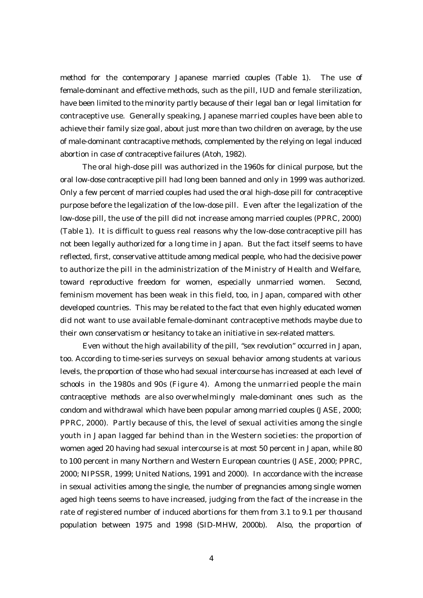method for the contemporary Japanese married couples (Table 1). The use of female-dominant and effective methods, such as the pill, IUD and female sterilization, have been limited to the minority partly because of their legal ban or legal limitation for contraceptive use. Generally speaking, Japanese married couples have been able to achieve their family size goal, about just more than two children on average, by the use of male-dominant contracaptive methods, complemented by the relying on legal induced abortion in case of contraceptive failures (Atoh, 1982).

The oral high-dose pill was authorized in the 1960s for clinical purpose, but the oral low-dose contraceptive pill had long been banned and only in 1999 was authorized. Only a few percent of married couples had used the oral high-dose pill for contraceptive purpose before the legalization of the low-dose pill. Even after the legalization of the low-dose pill, the use of the pill did not increase among married couples (PPRC, 2000) (Table 1). It is difficult to guess real reasons why the low-dose contraceptive pill has not been legally authorized for a long time in Japan. But the fact itself seems to have reflected, first, conservative attitude among medical people, who had the decisive power to authorize the pill in the administrization of the Ministry of Health and Welfare, toward reproductive freedom for women, especially unmarried women. Second, feminism movement has been weak in this field, too, in Japan, compared with other developed countries. This may be related to the fact that even highly educated women did not want to use available female-dominant contraceptive methods maybe due to their own conservatism or hesitancy to take an initiative in sex-related matters.

Even without the high availability of the pill, "sex revolution" occurred in Japan, too. According to time-series surveys on sexual behavior among students at various levels, the proportion of those who had sexual intercourse has increased at each level of schools in the 1980s and 90s (Figure 4). Among the unmarried people the main contraceptive methods are also overwhelmingly male-dominant ones such as the condom and withdrawal which have been popular among married couples (JASE, 2000; PPRC, 2000). Partly because of this, the level of sexual activities among the single youth in Japan lagged far behind than in the Western societies: the proportion of women aged 20 having had sexual intercourse is at most 50 percent in Japan, while 80 to 100 percent in many Northern and Western European countries (JASE, 2000; PPRC, 2000; NIPSSR, 1999; United Nations, 1991 and 2000). In accordance with the increase in sexual activities among the single, the number of pregnancies among single women aged high teens seems to have increased, judging from the fact of the increase in the rate of registered number of induced abortions for them from 3.1 to 9.1 per thousand population between 1975 and 1998 (SID-MHW, 2000b). Also, the proportion of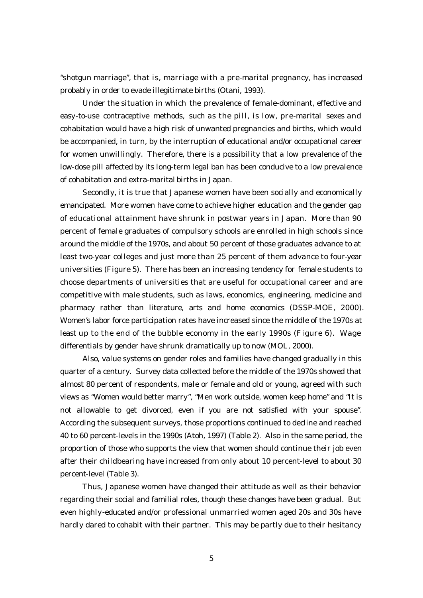"shotgun marriage", that is, marriage with a pre-marital pregnancy, has increased probably in order to evade illegitimate births (Otani, 1993).

Under the situation in which the prevalence of female-dominant, effective and easy-to-use contraceptive methods, such as the pill, is low, pre-marital sexes and cohabitation would have a high risk of unwanted pregnancies and births, which would be accompanied, in turn, by the interruption of educational and/or occupational career for women unwillingly. Therefore, there is a possibility that a low prevalence of the low-dose pill affected by its long-term legal ban has been conducive to a low prevalence of cohabitation and extra-marital births in Japan.

Secondly, it is true that Japanese women have been socially and economically emancipated. More women have come to achieve higher education and the gender gap of educational attainment have shrunk in postwar years in Japan. More than 90 percent of female graduates of compulsory schools are enrolled in high schools since around the middle of the 1970s, and about 50 percent of those graduates advance to at least two-year colleges and just more than 25 percent of them advance to four-year universities (Figure 5). There has been an increasing tendency for female students to choose departments of universities that are useful for occupational career and are competitive with male students, such as laws, economics, engineering, medicine and pharmacy rather than literature, arts and home economics (DSSP-MOE, 2000). Women's labor force participation rates have increased since the middle of the 1970s at least up to the end of the bubble economy in the early 1990s (Figure 6). Wage differentials by gender have shrunk dramatically up to now (MOL, 2000).

Also, value systems on gender roles and families have changed gradually in this quarter of a century. Survey data collected before the middle of the 1970s showed that almost 80 percent of respondents, male or female and old or young, agreed with such views as "Women would better marry", "Men work outside, women keep home" and "It is not allowable to get divorced, even if you are not satisfied with your spouse". According the subsequent surveys, those proportions continued to decline and reached 40 to 60 percent-levels in the 1990s (Atoh, 1997) (Table 2). Also in the same period, the proportion of those who supports the view that women should continue their job even after their childbearing have increased from only about 10 percent-level to about 30 percent-level (Table 3).

Thus, Japanese women have changed their attitude as well as their behavior regarding their social and familial roles, though these changes have been gradual. But even highly-educated and/or professional unmarried women aged 20s and 30s have hardly dared to cohabit with their partner. This may be partly due to their hesitancy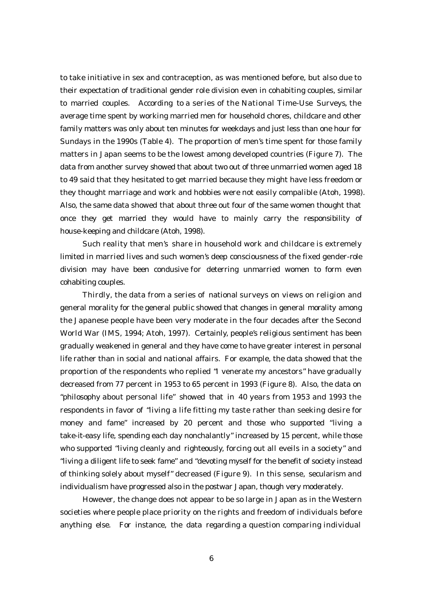to take initiative in sex and contraception, as was mentioned before, but also due to their expectation of traditional gender role division even in cohabiting couples, similar to married couples. According to a series of the National Time-Use Surveys, the average time spent by working married men for household chores, childcare and other family matters was only about ten minutes for weekdays and just less than one hour for Sundays in the 1990s (Table 4). The proportion of men's time spent for those family matters in Japan seems to be the lowest among developed countries (Figure 7). The data from another survey showed that about two out of three unmarried women aged 18 to 49 said that they hesitated to get married because they might have less freedom or they thought marriage and work and hobbies were not easily compalible (Atoh, 1998). Also, the same data showed that about three out four of the same women thought that once they get married they would have to mainly carry the responsibility of house-keeping and childcare (Atoh, 1998).

Such reality that men's share in household work and childcare is extremely limited in married lives and such women's deep consciousness of the fixed gender-role division may have been condusive for deterring unmarried women to form even cohabiting couples.

Thirdly, the data from a series of national surveys on views on religion and general morality for the general public showed that changes in general morality among the Japanese people have been very moderate in the four decades after the Second World War (IMS, 1994; Atoh, 1997). Certainly, people's religious sentiment has been gradually weakened in general and they have come to have greater interest in personal life rather than in social and national affairs. For example, the data showed that the proportion of the respondents who replied "I venerate my ancestors" have gradually decreased from 77 percent in 1953 to 65 percent in 1993 (Figure 8). Also, the data on "philosophy about personal life" showed that in 40 years from 1953 and 1993 the respondents in favor of "living a life fitting my taste rather than seeking desire for money and fame" increased by 20 percent and those who supported "living a take-it-easy life, spending each day nonchalantly" increased by 15 percent, while those who supported "living cleanly and righteously, forcing out all eveils in a society" and "living a diligent life to seek fame" and "devoting myself for the benefit of society instead of thinking solely about myself" decreased (Figure 9). In this sense, secularism and individualism have progressed also in the postwar Japan, though very moderately.

However, the change does not appear to be so large in Japan as in the Western societies where people place priority on the rights and freedom of individuals before anything else. For instance, the data regarding a question comparing individual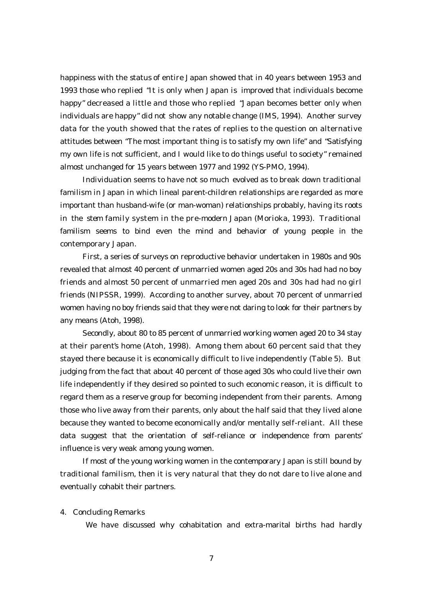happiness with the status of entire Japan showed that in 40 years between 1953 and 1993 those who replied "It is only when Japan is improved that individuals become happy" decreased a little and those who replied "Japan becomes better only when individuals are happy" did not show any notable change (IMS, 1994). Another survey data for the youth showed that the rates of replies to the question on alternative attitudes between "The most important thing is to satisfy my own life" and "Satisfying my own life is not sufficient, and I would like to do things useful to society" remained almost unchanged for 15 years between 1977 and 1992 (YS-PMO, 1994).

Individuation seems to have not so much evolved as to break down traditional familism in Japan in which lineal parent-children relationships are regarded as more important than husband-wife (or man-woman) relationships probably, having its roots in the stem family system in the pre-modern Japan (Morioka, 1993). Traditional familism seems to bind even the mind and behavior of young people in the contemporary Japan.

First, a series of surveys on reproductive behavior undertaken in 1980s and 90s revealed that almost 40 percent of unmarried women aged 20s and 30s had had no boy friends and almost 50 percent of unmarried men aged 20s and 30s had had no girl friends (NIPSSR, 1999). According to another survey, about 70 percent of unmarried women having no boy friends said that they were not daring to look for their partners by any means (Atoh, 1998).

Secondly, about 80 to 85 percent of unmarried working women aged 20 to 34 stay at their parent's home (Atoh, 1998). Among them about 60 percent said that they stayed there because it is economically difficult to live independently (Table 5). But judging from the fact that about 40 percent of those aged 30s who could live their own life independently if they desired so pointed to such economic reason, it is difficult to regard them as a reserve group for becoming independent from their parents. Among those who live away from their parents, only about the half said that they lived alone because they wanted to become economically and/or mentally self-reliant. All these data suggest that the orientation of self-reliance or independence from parents' influence is very weak among young women.

If most of the young working women in the contemporary Japan is still bound by traditional familism, then it is very natural that they do not dare to live alone and eventually cohabit their partners.

4. Concluding Remarks

We have discussed why cohabitation and extra-marital births had hardly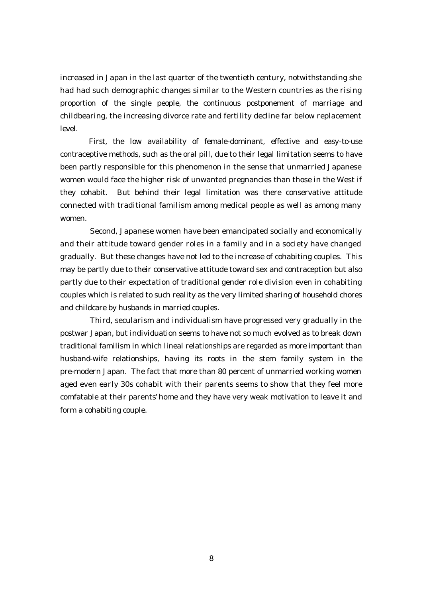increased in Japan in the last quarter of the twentieth century, notwithstanding she had had such demographic changes similar to the Western countries as the rising proportion of the single people, the continuous postponement of marriage and childbearing, the increasing divorce rate and fertility decline far below replacement level.

 First, the low availability of female-dominant, effective and easy-to-use contraceptive methods, such as the oral pill, due to their legal limitation seems to have been partly responsible for this phenomenon in the sense that unmarried Japanese women would face the higher risk of unwanted pregnancies than those in the West if they cohabit. But behind their legal limitation was there conservative attitude connected with traditional familism among medical people as well as among many women.

Second, Japanese women have been emancipated socially and economically and their attitude toward gender roles in a family and in a society have changed gradually. But these changes have not led to the increase of cohabiting couples. This may be partly due to their conservative attitude toward sex and contraception but also partly due to their expectation of traditional gender role division even in cohabiting couples which is related to such reality as the very limited sharing of household chores and childcare by husbands in married couples.

 Third, secularism and individualism have progressed very gradually in the postwar Japan, but individuation seems to have not so much evolved as to break down traditional familism in which lineal relationships are regarded as more important than husband-wife relationships, having its roots in the stem family system in the pre-modern Japan. The fact that more than 80 percent of unmarried working women aged even early 30s cohabit with their parents seems to show that they feel more comfatable at their parents' home and they have very weak motivation to leave it and form a cohabiting couple.

8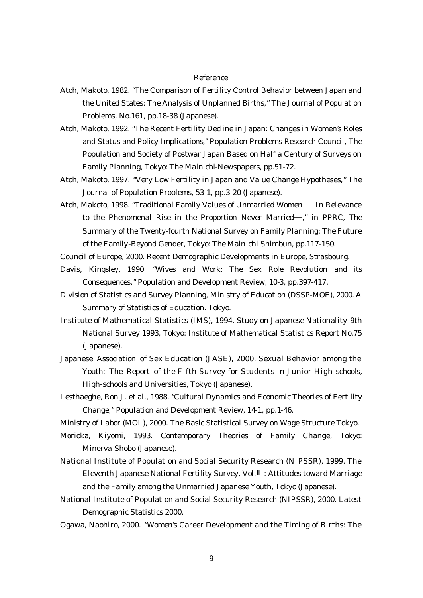## Reference

- Atoh, Makoto, 1982. "The Comparison of Fertility Control Behavior between Japan and the United States: The Analysis of Unplanned Births," The Journal of Population Problems, No.161, pp.18-38 (Japanese).
- Atoh, Makoto, 1992. "The Recent Fertility Decline in Japan: Changes in Women's Roles and Status and Policy Implications," Population Problems Research Council, The Population and Society of Postwar Japan Based on Half a Century of Surveys on Family Planning, Tokyo: The Mainichi-Newspapers, pp.51-72.
- Atoh, Makoto, 1997. "Very Low Fertility in Japan and Value Change Hypotheses," The Journal of Population Problems, 53-1, pp.3-20 (Japanese).
- Atoh, Makoto, 1998. "Traditional Family Values of Unmarried Women In Relevance to the Phenomenal Rise in the Proportion Never Married ," in PPRC, The Summary of the Twenty-fourth National Survey on Family Planning: The Future of the Family-Beyond Gender, Tokyo: The Mainichi Shimbun, pp.117-150.
- Council of Europe, 2000. Recent Demographic Developments in Europe, Strasbourg.
- Davis, Kingsley, 1990. "Wives and Work: The Sex Role Revolution and its Consequences," Population and Development Review, 10-3, pp.397-417.
- Division of Statistics and Survey Planning, Ministry of Education (DSSP-MOE), 2000. A Summary of Statistics of Education. Tokyo.
- Institute of Mathematical Statistics (IMS), 1994. Study on Japanese Nationality-9th National Survey 1993, Tokyo: Institute of Mathematical Statistics Report No.75 (Japanese).
- Japanese Association of Sex Education (JASE), 2000. Sexual Behavior among the Youth: The Report of the Fifth Survey for Students in Junior High-schools, High-schools and Universities, Tokyo (Japanese).
- Lesthaeghe, Ron J. et al., 1988. "Cultural Dynamics and Economic Theories of Fertility Change," Population and Development Review, 14-1, pp.1-46.
- Ministry of Labor (MOL), 2000. The Basic Statistical Survey on Wage Structure Tokyo.
- Morioka, Kiyomi, 1993. Contemporary Theories of Family Change, Tokyo: Minerva-Shobo (Japanese).
- National Institute of Population and Social Security Research (NIPSSR), 1999. The Eleventh Japanese National Fertility Survey, Vol. : Attitudes toward Marriage and the Family among the Unmarried Japanese Youth, Tokyo (Japanese).
- National Institute of Population and Social Security Research (NIPSSR), 2000. Latest Demographic Statistics 2000.
- Ogawa, Naohiro, 2000. "Women's Career Development and the Timing of Births: The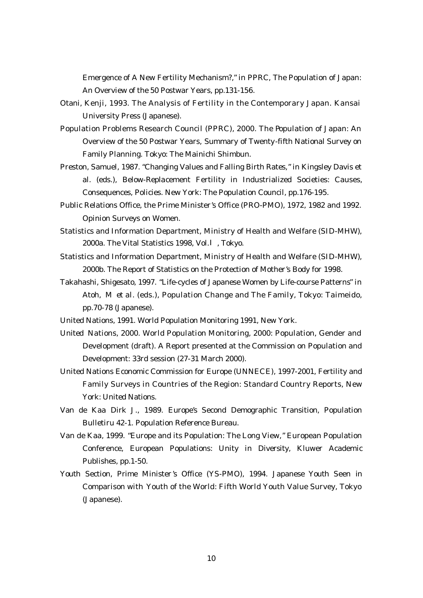Emergence of A New Fertility Mechanism?," in PPRC, The Population of Japan: An Overview of the 50 Postwar Years, pp.131-156.

- Otani, Kenji, 1993. The Analysis of Fertility in the Contemporary Japan. Kansai University Press (Japanese).
- Population Problems Research Council (PPRC), 2000. The Population of Japan: An Overview of the 50 Postwar Years, Summary of Twenty-fifth National Survey on Family Planning. Tokyo: The Mainichi Shimbun.
- Preston, Samuel, 1987. "Changing Values and Falling Birth Rates," in Kingsley Davis et al. (eds.), Below-Replacement Fertility in Industrialized Societies: Causes, Consequences, Policies. New York: The Population Council, pp.176-195.
- Public Relations Office, the Prime Minister's Office (PRO-PMO), 1972, 1982 and 1992. Opinion Surveys on Women.
- Statistics and Information Department, Ministry of Health and Welfare (SID-MHW), 2000a. The Vital Statistics 1998, Vol. , Tokyo.
- Statistics and Information Department, Ministry of Health and Welfare (SID-MHW), 2000b. The Report of Statistics on the Protection of Mother's Body for 1998.
- Takahashi, Shigesato, 1997. "Life-cycles of Japanese Women by Life-course Patterns" in Atoh, M et al. (eds.), Population Change and The Family, Tokyo: Taimeido, pp.70-78 (Japanese).
- United Nations, 1991. World Population Monitoring 1991, New York.
- United Nations, 2000. World Population Monitoring, 2000: Population, Gender and Development (draft). A Report presented at the Commission on Population and Development: 33rd session (27-31 March 2000).
- United Nations Economic Commission for Europe (UNNECE), 1997-2001, Fertility and Family Surveys in Countries of the Region: Standard Country Reports, New York: United Nations.
- Van de Kaa Dirk J., 1989. Europe's Second Demographic Transition, Population Bulletiru 42-1. Population Reference Bureau.
- Van de Kaa, 1999. "Europe and its Population: The Long View," European Population Conference, European Populations: Unity in Diversity, Kluwer Academic Publishes, pp.1-50.
- Youth Section, Prime Minister 's Office (YS-PMO), 1994. Japanese Youth Seen in Comparison with Youth of the World: Fifth World Youth Value Survey, Tokyo (Japanese).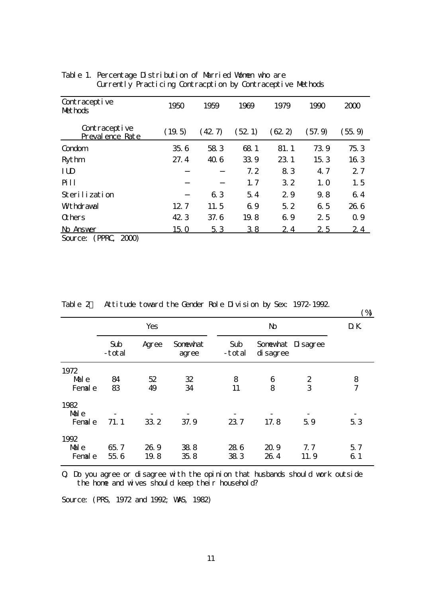| Contraceptive<br>Methods          | 1950   | 1959   | 1969   | 1979   | 1990   | 2000   |
|-----------------------------------|--------|--------|--------|--------|--------|--------|
| Contraceptive<br>Preval ence Rate | (19.5) | (42.7) | (52.1) | (62.2) | (57.9) | (55.9) |
| Condom                            | 356    | 583    | 681    | 81.1   | 739    | 753    |
| <b>Rythm</b>                      | 27.4   | 40.6   | 339    | 23.1   | 153    | 163    |
| ID                                |        |        | 7.2    | 83     | 4.7    | 27     |
| <b>Pill</b>                       |        |        | 1, 7   | 32     | 1.0    | 1, 5   |
| Sterilization                     |        | 63     | 54     | 29     | 9.8    | 64     |
| <b>Wthdraval</b>                  | 12.7   | 11.5   | 69     | 5.2    | 6.5    | 266    |
| <b>G</b> hers                     | 42.3   | 37.6   | 19.8   | 69     | 25     | 0.9    |
| No Answer                         | 150    | 53     | 38     | 24     | 25     | 24     |
| (PPRC 2000)<br>Source:            |        |        |        |        |        |        |

Table 1. Percentage Distribution of Married Women who are Currently Practicing Contracption by Contraceptive Methods

Table 2. Attitude toward the Gender Role Division by Sex: 1972-1992.

| $\mathbf{r}$ and $\mathbf{r}$ | All the toward the dender note Levi Studi by Sex. 13/2 1302 |              |                   |               |              |                       |                     |
|-------------------------------|-------------------------------------------------------------|--------------|-------------------|---------------|--------------|-----------------------|---------------------|
|                               | Yes                                                         |              |                   |               | D K          |                       |                     |
|                               | Sub<br>-total                                               | Agree        | Sonewhat<br>agree | Sub<br>-total | di sagree    | Sonewhat Disagree     |                     |
| 1972<br>Male<br>Fenal e       | 84<br>83                                                    | 52<br>49     | 32<br>34          | 8<br>11       | 6<br>8       | $\boldsymbol{2}$<br>3 | 8<br>$\overline{7}$ |
| 1982<br>Male<br>Fenal e       | 71.1                                                        | 33 2         | 37.9              | 237           | 17.8         | 59                    | 53                  |
| 1992<br>Male<br>Fenal e       | 65.7<br>55.6                                                | 26.9<br>19.8 | 388<br>358        | 286<br>383    | 20.9<br>26.4 | 7.7<br>11.9           | 57<br>61            |

Q. Do you agree or disagree with the opinion that husbands should work outside the home and wives should keep their household?

Source: (PRS, 1972 and 1992; VAS, 1982)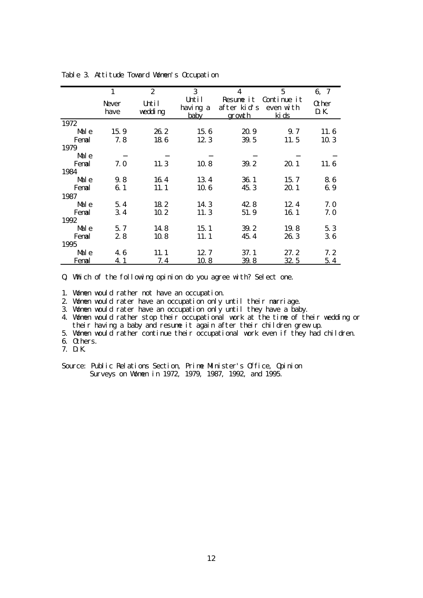|       | $\mathbf{1}$    | $\boldsymbol{2}$ | 3                         | 4                                         | 5                                 | 6, 7                |
|-------|-----------------|------------------|---------------------------|-------------------------------------------|-----------------------------------|---------------------|
|       | Never<br>have   | Urtil<br>wedding | Until<br>having a<br>baby | Resume it<br>after kid's<br><u>growth</u> | Continue it<br>even with<br>ki ds | <b>O</b> her<br>D K |
| 1972  |                 |                  |                           |                                           |                                   |                     |
| Male  | 15.9            | 262              | 156                       | 20 9                                      | 9.7                               | 11.6                |
| Fenal | 7.8             | 186              | 123                       | 39.5                                      | 11.5                              | 103                 |
| 1979  |                 |                  |                           |                                           |                                   |                     |
| Male  |                 |                  |                           |                                           |                                   |                     |
| Fenal | 7. 0            | 11.3             | 108                       | 39.2                                      | 20. 1                             | 11.6                |
| 1984  |                 |                  |                           |                                           |                                   |                     |
| Male  | 9.8             | 164              | 134                       | 361                                       | 15.7                              | 86                  |
| Fenal | 61              | 11.1             | 106                       | 45.3                                      | 20.1                              | 69                  |
| 1987  |                 |                  |                           |                                           |                                   |                     |
| Male  | 5.4             | 182              | 14 3                      | 428                                       | 12.4                              | 7.0                 |
| Fenal | 34 <sup>4</sup> | 10 <sub>2</sub>  | 11.3                      | 51.9                                      | 16 1                              | 7.0                 |
| 1992  |                 |                  |                           |                                           |                                   |                     |
| Male  | 5.7             | 148              | 15.1                      | 39.2                                      | 19.8                              | 53                  |
| Fenal | 28              | 108              | 11.1                      | 45.4                                      | 26.3                              | 36                  |
| 1995  |                 |                  |                           |                                           |                                   |                     |
| Male  | 46              | 11.1             | 12.7                      | 37.1                                      | 27.2                              | 7.2                 |
| Fenal | <u>41</u>       | 7.4              | <u> 10 8</u>              | 39.8                                      | <u>325</u>                        | 5.4                 |

Table 3. Attitude Toward Women's Occupation

Q. Which of the following opinion do you agree with? Select one.

1. Women would rather not have an occupation.

2. Women would rater have an occupation only until their marriage.

3. Women would rater have an occupation only until they have a baby.

4. Women would rather stop their occupational work at the time of their wedding or their having a baby and resume it again after their children grew up.

5. Women would rather continue their occupational work even if they had children.

6. Others.

7. DK

Source: Public Relations Section, Prime Minister's Office, Opinion Surveys on Women in 1972, 1979, 1987, 1992, and 1995.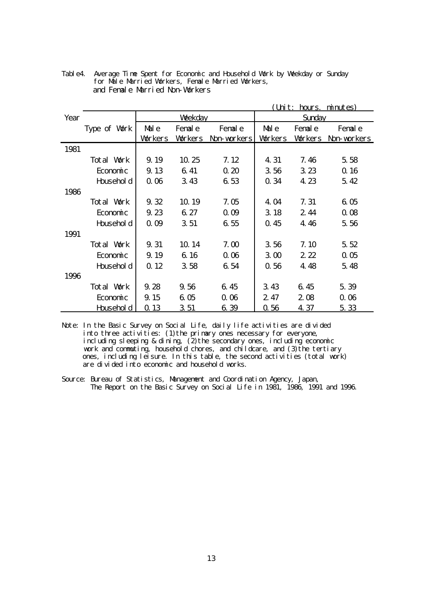|      | <u>(Unit: hours. minutes)</u> |               |                |                   |                |                |                |  |
|------|-------------------------------|---------------|----------------|-------------------|----------------|----------------|----------------|--|
| Year |                               | <b>Wekday</b> |                |                   | Sunday         |                |                |  |
|      | Type of Work                  | Male          | Fenal e        | Fenal e           | Male           | Fenal e        | Fenal e        |  |
|      |                               | Vørkers       | <b>Workers</b> | Non workers       | <b>Vorkers</b> | <b>Workers</b> | Non-workers    |  |
| 1981 |                               |               |                |                   |                |                |                |  |
|      | Total Work                    | 9.19          | 10.25          | 7.12              | 4.31           | 7.46           | 5.58           |  |
|      | Economic                      | 9.13          | 6.41           | 020               | 356            | 323            | $\Omega$ 16    |  |
|      | Household                     | 000           | 343            | 653               | 0.34           | 4.23           | 542            |  |
| 1986 |                               |               |                |                   |                |                |                |  |
|      | Total Work<br>9.32            |               | 10.19          | 7. O <sub>D</sub> | 4 O4           | 7.31           | 605            |  |
|      | Economic                      | 9.23          | 6.27           | $\alpha$ ob       | 3.18           | 244            | 008            |  |
|      | Household                     | $\alpha$ ob   | 351            | 655               | 0.45           | 446            | 5.56           |  |
| 1991 |                               |               |                |                   |                |                |                |  |
|      | Total Work                    | 9.31          | 10.14          | 7.00              | 356            | 7.10           | 5.52           |  |
|      | Economic                      | 9.19          | 6 16           | 000               | 3 <sub>0</sub> | $2\,2$         | 0 <sub>0</sub> |  |
|      | Household                     | Q 12          | 358            | 654               | 0.56           | 4.48           | 5.48           |  |
| 1996 |                               |               |                |                   |                |                |                |  |
|      | Total Work                    | 9.28          | 9.56           | 6.45              | 343            | 645            | 5.39           |  |
|      | Economic                      | 9.15          | 605            | 000               | 247            | 208            | 0.06           |  |
|      | <u>Househol d</u>             | Q 13          | 351            | 639               | 0.56           | 4 37           | 5.33           |  |

Table4. Average Time Spent for Economic and Household Work by Weekday or Sunday for Male Married Workers, Female Married Workers, and Female Married Non-Workers

Note: In the Basic Survey on Social Life, daily life activities are divided into three activities: (1)the primary ones necessary for everyone, including sleeping & dining, (2)the secondary ones, including economic work and commuting, household chores, and childcare, and (3)the tertiary ones, including leisure. In this table, the second activities (total work) are divided into economic and household works.

Source: Bureau of Statistics, Management and Coordination Agency, Japan, The Report on the Basic Survey on Social Life in 1981, 1986, 1991 and 1996.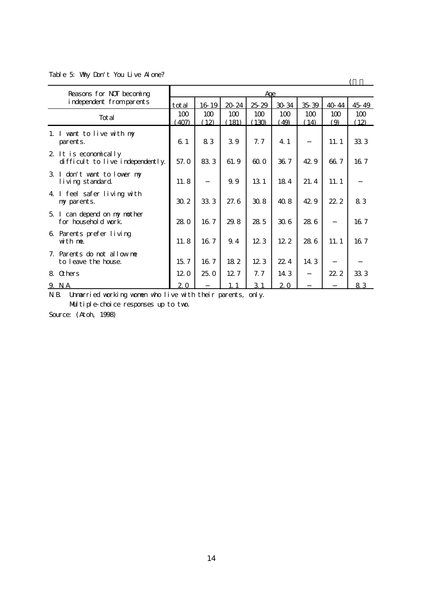Table 5: Why Don't You Live Alone?

| Reasons for NOT becoming                                 | Age          |             |             |              |             |             |            |             |
|----------------------------------------------------------|--------------|-------------|-------------|--------------|-------------|-------------|------------|-------------|
| independent fromparents                                  | total        | 16 19       | 20 24       | 2529         | 30 34       | 3539        | 40 44      | 45 49       |
| Total                                                    | 100<br>(407) | 100<br>(12) | 100<br>181) | 100<br>(130) | 100<br>(49) | 100<br>(14) | 100<br>(9) | 100<br>(12) |
| 1. I want to live with my<br>parents.                    | 61           | 83          | 39          | 7.7          | 4 1         |             | 11.1       | 333         |
| 2 It is economically<br>difficult to live independently. | 57.0         | 833         | 61.9        | 600          | 36.7        | 42.9        | 66.7       | 167         |
| 3 I don't want to lower my<br>living standard            | 11.8         |             | 9.9         | 13 1         | 184         | 21.4        | 11.1       |             |
| 4 I feel safer living with<br>ny parents.                | 30 2         | 333         | 27.6        | 308          | 408         | 42.9        | 22.2       | 83          |
| 5 I can depend on my nother<br>for household work.       | 280          | 167         | 29.8        | 285          | 306         | 286         |            | 167         |
| 6 Parents prefer living<br>with me.                      | 11.8         | 16.7        | 9.4         | 123          | 122         | 286         | 11.1       | 167         |
| Parents do not allow me<br>7.<br>to leave the house.     | 15.7         | 16.7        | 182         | 123          | 22.4        | 14 3        |            |             |
| 8 Ochers                                                 | 120          | 25.0        | 12.7        | 7.7          | 14 3        |             | 22.2       | 333         |
| 9 <sub>M</sub>                                           | 20           |             | 1.1         | 31           | 20          |             |            | 83          |

N.B. Unmarried working women who live with their parents, only.

Multiple-choice responses up to two.

Source: (Atoh, 1998)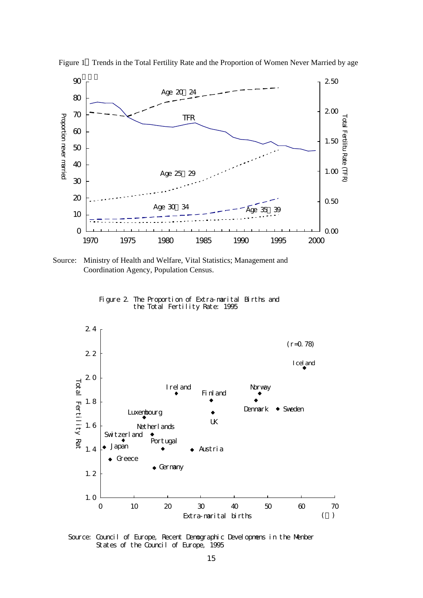

Figure 1 Trends in the Total Fertility Rate and the Proportion of Women Never Married by age

 Source: Ministry of Health and Welfare, Vital Statistics; Management and Coordination Agency, Population Census.

Figure 2. The Proportion of Extra-marital Births and the Total Fertility Rate: 1995



Source: Council of Europe, Recent Demographic Developmens in the Menber States of the Council of Europe, 1995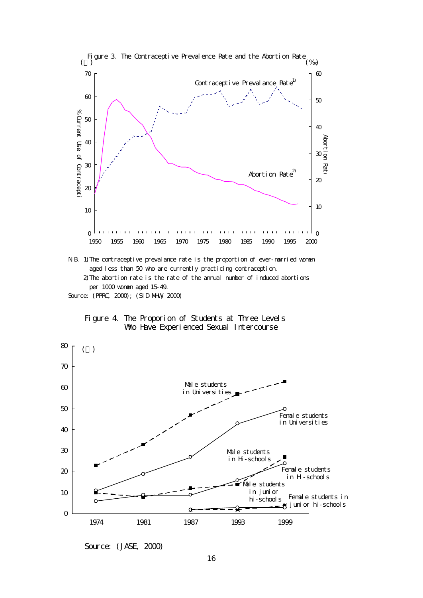







Source: (JASE, 2000)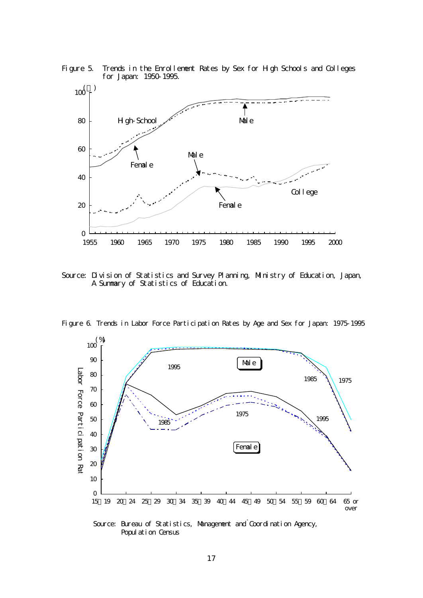



Source: Division of Statistics and Survey Planning, Ministry of Education, Japan, A Summary of Statistics of Education.





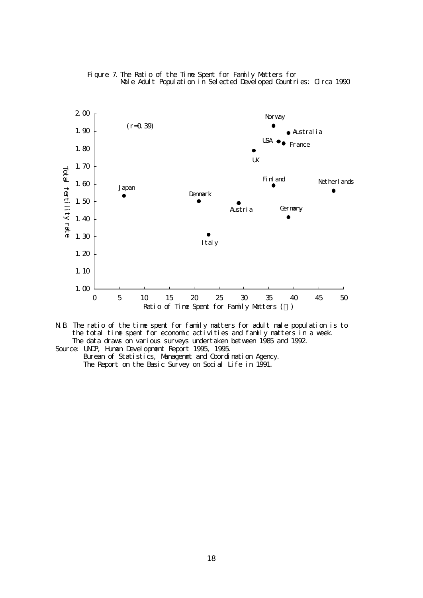



- N.B. The ratio of the time spent for family matters for adult male population is to the total time spent for economic activities and family matters in a week. The data draws on various surveys undertaken between 1985 and 1992. Source: UNP, Human Development Report 1995, 1995.
	- Burean of Statistics, Managemnt and Coordination Agency. The Report on the Basic Survey on Social Life in 1991.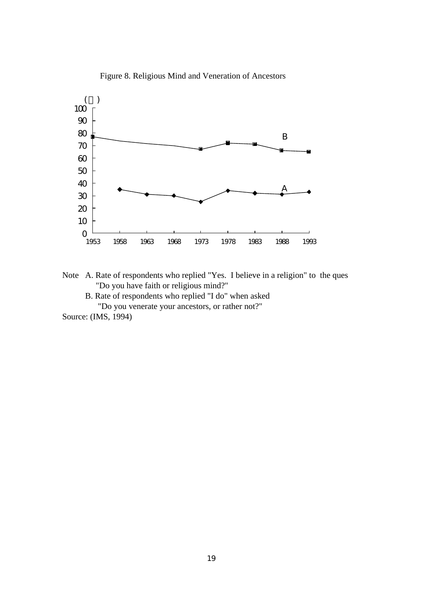

Figure 8. Religious Mind and Veneration of Ancestors

Note A. Rate of respondents who replied "Yes. I believe in a religion" to the ques "Do you have faith or religious mind?"

B. Rate of respondents who replied "I do" when asked

"Do you venerate your ancestors, or rather not?"

Source: (IMS, 1994)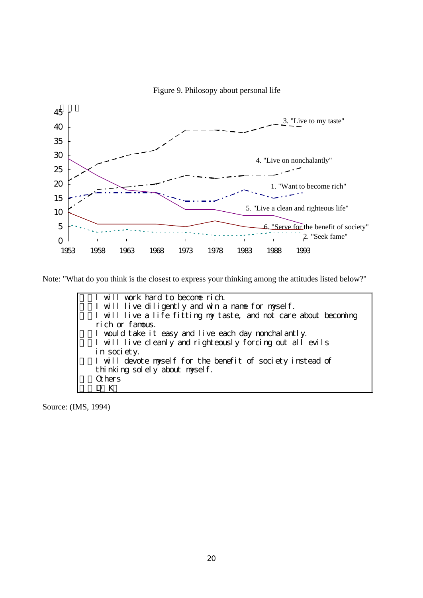Figure 9. Philosopy about personal life



Note: "What do you think is the closest to express your thinking among the attitudes listed below?"

1.I will work hard to become rich. 2.I will live diligently and win a name for myself. I will live a life fitting my taste, and not care about becoming rich or famous. 4.I would take it easy and live each day nonchalantly. I will live cleanly and righteously forcing out all evils in society. I will devote myself for the benefit of society instead of thinking solely about myself. 7.Others D<sub>K</sub>

Source: (IMS, 1994)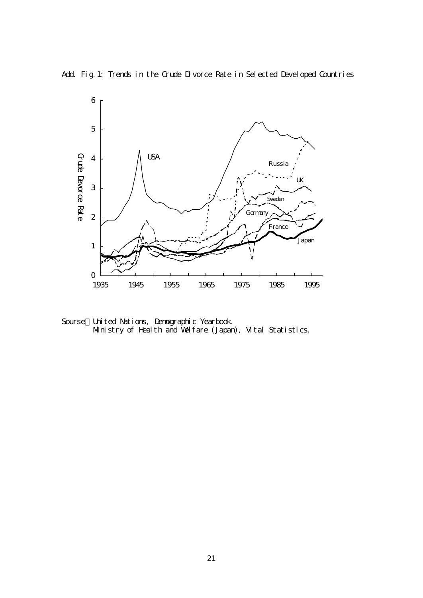Add Fig.1: Trends in the Crude Divorce Rate in Selected Developed Countries



Sourse:United Nations, Demographic Yearbook. Ministry of Health and Welfare (Japan), Vital Statistics.